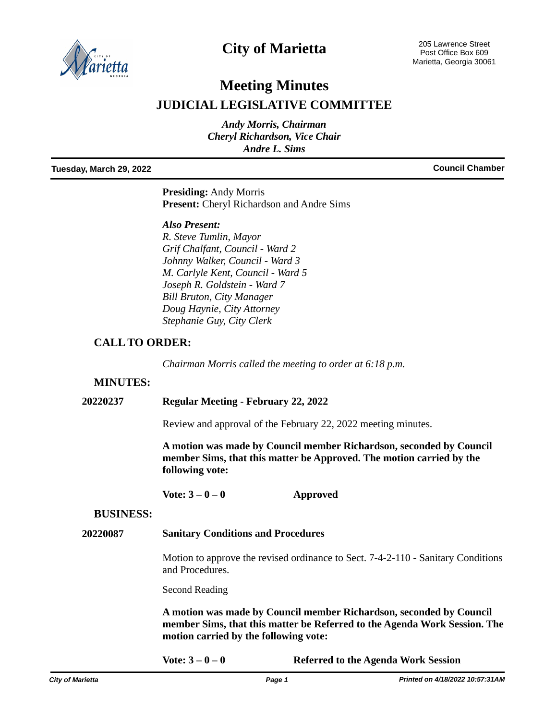

# **City of Marietta**

205 Lawrence Street Post Office Box 609 Marietta, Georgia 30061

# **Meeting Minutes JUDICIAL LEGISLATIVE COMMITTEE**

*Andy Morris, Chairman Cheryl Richardson, Vice Chair Andre L. Sims*

## **Tuesday, March 29, 2022 Council Chamber**

**Presiding:** Andy Morris **Present:** Cheryl Richardson and Andre Sims

### *Also Present:*

*R. Steve Tumlin, Mayor Grif Chalfant, Council - Ward 2 Johnny Walker, Council - Ward 3 M. Carlyle Kent, Council - Ward 5 Joseph R. Goldstein - Ward 7 Bill Bruton, City Manager Doug Haynie, City Attorney Stephanie Guy, City Clerk*

# **CALL TO ORDER:**

*Chairman Morris called the meeting to order at 6:18 p.m.* 

#### **MINUTES:**

**20220237 Regular Meeting - February 22, 2022**

Review and approval of the February 22, 2022 meeting minutes.

**A motion was made by Council member Richardson, seconded by Council member Sims, that this matter be Approved. The motion carried by the following vote:**

**Vote: 3 – 0 – 0 Approved**

#### **BUSINESS:**

#### **20220087 Sanitary Conditions and Procedures**

Motion to approve the revised ordinance to Sect. 7-4-2-110 - Sanitary Conditions and Procedures.

Second Reading

**A motion was made by Council member Richardson, seconded by Council member Sims, that this matter be Referred to the Agenda Work Session. The motion carried by the following vote:**

**Vote: 3 – 0 – 0 Referred to the Agenda Work Session**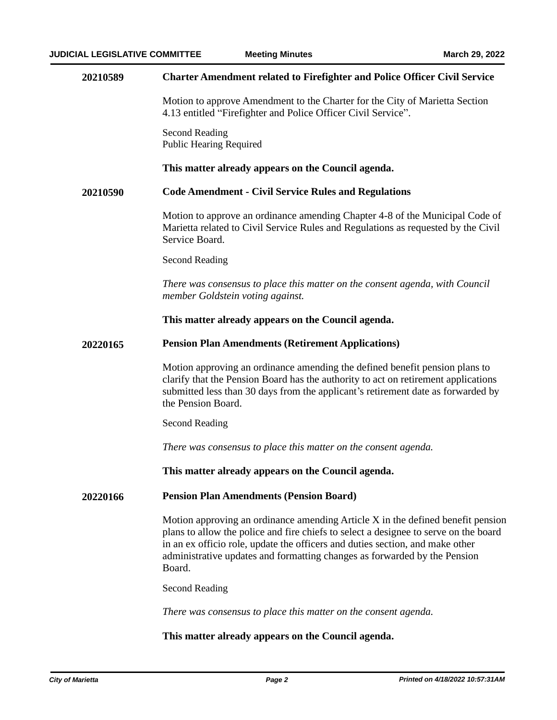| 20210589 | <b>Charter Amendment related to Firefighter and Police Officer Civil Service</b>                                                                                                                                                                                                                                                                |  |  |
|----------|-------------------------------------------------------------------------------------------------------------------------------------------------------------------------------------------------------------------------------------------------------------------------------------------------------------------------------------------------|--|--|
|          | Motion to approve Amendment to the Charter for the City of Marietta Section<br>4.13 entitled "Firefighter and Police Officer Civil Service".                                                                                                                                                                                                    |  |  |
|          | <b>Second Reading</b><br><b>Public Hearing Required</b>                                                                                                                                                                                                                                                                                         |  |  |
|          | This matter already appears on the Council agenda.                                                                                                                                                                                                                                                                                              |  |  |
| 20210590 | <b>Code Amendment - Civil Service Rules and Regulations</b>                                                                                                                                                                                                                                                                                     |  |  |
|          | Motion to approve an ordinance amending Chapter 4-8 of the Municipal Code of<br>Marietta related to Civil Service Rules and Regulations as requested by the Civil<br>Service Board.                                                                                                                                                             |  |  |
|          | <b>Second Reading</b>                                                                                                                                                                                                                                                                                                                           |  |  |
|          | There was consensus to place this matter on the consent agenda, with Council<br>member Goldstein voting against.                                                                                                                                                                                                                                |  |  |
|          | This matter already appears on the Council agenda.                                                                                                                                                                                                                                                                                              |  |  |
| 20220165 | <b>Pension Plan Amendments (Retirement Applications)</b>                                                                                                                                                                                                                                                                                        |  |  |
|          | Motion approving an ordinance amending the defined benefit pension plans to<br>clarify that the Pension Board has the authority to act on retirement applications<br>submitted less than 30 days from the applicant's retirement date as forwarded by<br>the Pension Board.                                                                     |  |  |
|          | <b>Second Reading</b>                                                                                                                                                                                                                                                                                                                           |  |  |
|          | There was consensus to place this matter on the consent agenda.                                                                                                                                                                                                                                                                                 |  |  |
|          | This matter already appears on the Council agenda.                                                                                                                                                                                                                                                                                              |  |  |
| 20220166 | <b>Pension Plan Amendments (Pension Board)</b>                                                                                                                                                                                                                                                                                                  |  |  |
|          | Motion approving an ordinance amending Article X in the defined benefit pension<br>plans to allow the police and fire chiefs to select a designee to serve on the board<br>in an ex officio role, update the officers and duties section, and make other<br>administrative updates and formatting changes as forwarded by the Pension<br>Board. |  |  |
|          | <b>Second Reading</b>                                                                                                                                                                                                                                                                                                                           |  |  |
|          | There was consensus to place this matter on the consent agenda.                                                                                                                                                                                                                                                                                 |  |  |
|          | This matter already appears on the Council agenda.                                                                                                                                                                                                                                                                                              |  |  |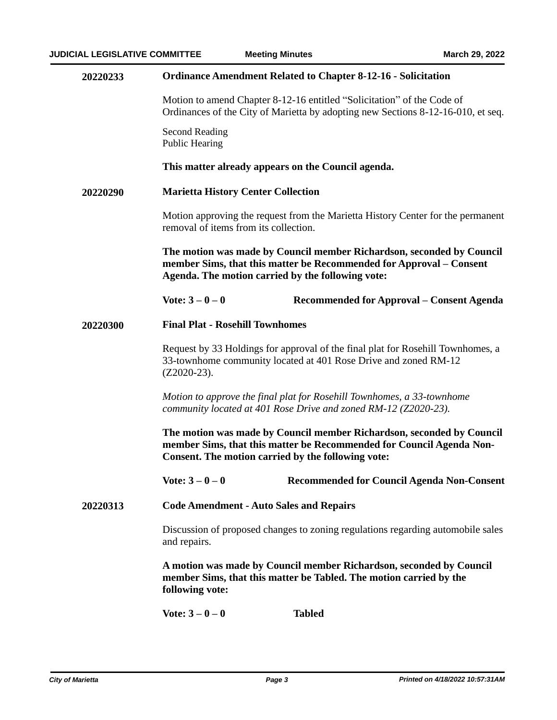| 20220233 | <b>Ordinance Amendment Related to Chapter 8-12-16 - Solicitation</b>                                                                                                                                |  |  |
|----------|-----------------------------------------------------------------------------------------------------------------------------------------------------------------------------------------------------|--|--|
|          | Motion to amend Chapter 8-12-16 entitled "Solicitation" of the Code of<br>Ordinances of the City of Marietta by adopting new Sections 8-12-16-010, et seq.                                          |  |  |
|          | Second Reading<br><b>Public Hearing</b>                                                                                                                                                             |  |  |
|          | This matter already appears on the Council agenda.                                                                                                                                                  |  |  |
| 20220290 | <b>Marietta History Center Collection</b>                                                                                                                                                           |  |  |
|          | Motion approving the request from the Marietta History Center for the permanent<br>removal of items from its collection.                                                                            |  |  |
|          | The motion was made by Council member Richardson, seconded by Council<br>member Sims, that this matter be Recommended for Approval - Consent<br>Agenda. The motion carried by the following vote:   |  |  |
|          | Vote: $3 - 0 - 0$<br>Recommended for Approval – Consent Agenda                                                                                                                                      |  |  |
| 20220300 | <b>Final Plat - Rosehill Townhomes</b>                                                                                                                                                              |  |  |
|          | Request by 33 Holdings for approval of the final plat for Rosehill Townhomes, a<br>33-townhome community located at 401 Rose Drive and zoned RM-12<br>$(Z2020-23)$ .                                |  |  |
|          | Motion to approve the final plat for Rosehill Townhomes, a 33-townhome<br>community located at 401 Rose Drive and zoned RM-12 (Z2020-23).                                                           |  |  |
|          | The motion was made by Council member Richardson, seconded by Council<br>member Sims, that this matter be Recommended for Council Agenda Non-<br>Consent. The motion carried by the following vote: |  |  |
|          | Vote: $3 - 0 - 0$<br><b>Recommended for Council Agenda Non-Consent</b>                                                                                                                              |  |  |
| 20220313 | <b>Code Amendment - Auto Sales and Repairs</b>                                                                                                                                                      |  |  |
|          | Discussion of proposed changes to zoning regulations regarding automobile sales<br>and repairs.                                                                                                     |  |  |
|          | A motion was made by Council member Richardson, seconded by Council<br>member Sims, that this matter be Tabled. The motion carried by the<br>following vote:                                        |  |  |
|          | Vote: $3 - 0 - 0$<br><b>Tabled</b>                                                                                                                                                                  |  |  |